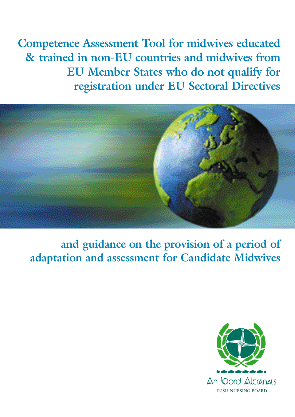**Competence Assessment Tool for midwives educated & trained in non-EU countries and midwives from EU Member States who do not qualify for registration under EU Sectoral Directives**



**and guidance on the provision of a period of adaptation and assessment for Candidate Midwives**

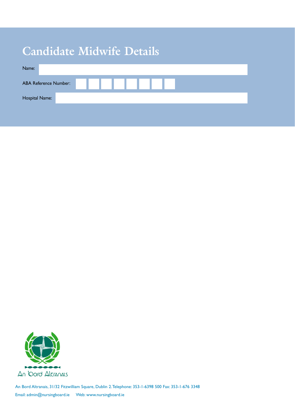# **Candidate Midwife Details**

| Name:                        |  |  |  |  |  |  |  |
|------------------------------|--|--|--|--|--|--|--|
| <b>ABA Reference Number:</b> |  |  |  |  |  |  |  |
| Hospital Name:               |  |  |  |  |  |  |  |



An Bord Altranais, 31/32 Fitzwilliam Square, Dublin 2.Telephone: 353-1-6398 500 Fax: 353-1-676 3348 Email: admin@nursingboard.ie Web: www.nursingboard.ie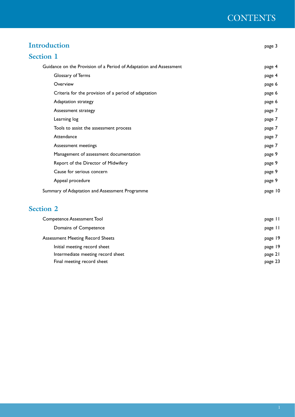### **CONTENTS**

| <b>Introduction</b>                                                | page 3  |
|--------------------------------------------------------------------|---------|
| <b>Section 1</b>                                                   |         |
| Guidance on the Provision of a Period of Adaptation and Assessment | page 4  |
| Glossary of Terms                                                  | page 4  |
| Overview                                                           | page 6  |
| Criteria for the provision of a period of adaptation               | page 6  |
| Adaptation strategy                                                | page 6  |
| Assessment strategy                                                | page 7  |
| Learning log                                                       | page 7  |
| Tools to assist the assessment process                             | page 7  |
| Attendance                                                         | page 7  |
| Assessment meetings                                                | page 7  |
| Management of assessment documentation                             | page 9  |
| Report of the Director of Midwifery                                | page 9  |
| Cause for serious concern                                          | page 9  |
| Appeal procedure                                                   | page 9  |
| Summary of Adaptation and Assessment Programme                     | page 10 |

### **Section 2**

| <b>Competence Assessment Tool</b>       | page 11 |
|-----------------------------------------|---------|
| Domains of Competence                   | page 11 |
| <b>Assessment Meeting Record Sheets</b> | page 19 |
| Initial meeting record sheet            | page 19 |
| Intermediate meeting record sheet       | page 21 |
| Final meeting record sheet              | page 23 |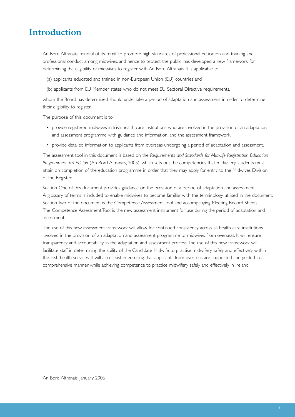### **Introduction**

An Bord Altranais, mindful of its remit to promote high standards of professional education and training and professional conduct among midwives, and hence to protect the public, has developed a new framework for determining the eligibility of midwives to register with An Bord Altranais. It is applicable to

- (a) applicants educated and trained in non-European Union (EU) countries and
- (b) applicants from EU Member states who do not meet EU Sectoral Directive requirements,

whom the Board has determined should undertake a period of adaptation and assessment in order to determine their eligibility to register.

The purpose of this document is to

- provide registered midwives in Irish health care institutions who are involved in the provision of an adaptation and assessment programme with guidance and information, and the assessment framework.
- provide detailed information to applicants from overseas undergoing a period of adaptation and assessment.

The assessment tool in this document is based on the *Requirements and Standards for Midwife Registration Education Programmes, 3rd Edition* (An Bord Altranais, 2005), which sets out the competencies that midwifery students must attain on completion of the education programme in order that they may apply for entry to the Midwives Division of the Register.

Section One of this document provides guidance on the provision of a period of adaptation and assessment. A glossary of terms is included to enable midwives to become familiar with the terminology utilised in the document. Section Two of the document is the Competence Assessment Tool and accompanying Meeting Record Sheets. The Competence Assessment Tool is the new assessment instrument for use during the period of adaptation and assessment.

The use of this new assessment framework will allow for continued consistency across all health care institutions involved in the provision of an adaptation and assessment programme to midwives from overseas. It will ensure transparency and accountability in the adaptation and assessment process.The use of this new framework will facilitate staff in determining the ability of the Candidate Midwife to practise midwifery safely and effectively within the Irish health services. It will also assist in ensuring that applicants from overseas are supported and guided in a comprehensive manner while achieving competence to practice midwifery safely and effectively in Ireland.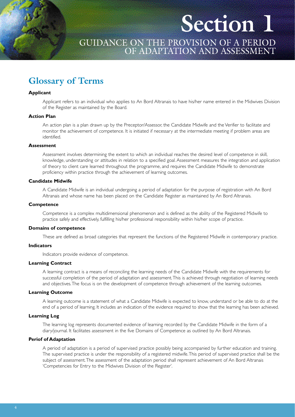# **Section 1**

### GUIDANCE ON THE PROVISION OF A PERIOD OF ADAPTATION AND ASSESSMENT

### **Glossary of Terms**

#### **Applicant**

Applicant refers to an individual who applies to An Bord Altranais to have his/her name entered in the Midwives Division of the Register as maintained by the Board.

#### **Action Plan**

An action plan is a plan drawn up by the Preceptor/Assessor, the Candidate Midwife and the Verifier to facilitate and monitor the achievement of competence. It is initiated if necessary at the intermediate meeting if problem areas are identified.

#### **Assessment**

Assessment involves determining the extent to which an individual reaches the desired level of competence in skill, knowledge, understanding or attitudes in relation to a specified goal. Assessment measures the integration and application of theory to client care learned throughout the programme, and requires the Candidate Midwife to demonstrate proficiency within practice through the achievement of learning outcomes.

#### **Candidate Midwife**

A Candidate Midwife is an individual undergoing a period of adaptation for the purpose of registration with An Bord Altranais and whose name has been placed on the Candidate Register as maintained by An Bord Altranais.

#### **Competence**

Competence is a complex multidimensional phenomenon and is defined as the ability of the Registered Midwife to practice safely and effectively, fulfilling his/her professional responsibility within his/her scope of practice.

#### **Domains of competence**

These are defined as broad categories that represent the functions of the Registered Midwife in contemporary practice.

#### **Indicators**

Indicators provide evidence of competence.

#### **Learning Contract**

A learning contract is a means of reconciling the learning needs of the Candidate Midwife with the requirements for successful completion of the period of adaptation and assessment.This is achieved through negotiation of learning needs and objectives.The focus is on the development of competence through achievement of the learning outcomes.

#### **Learning Outcome**

A learning outcome is a statement of what a Candidate Midwife is expected to know, understand or be able to do at the end of a period of learning. It includes an indication of the evidence required to show that the learning has been achieved.

#### **Learning Log**

The learning log represents documented evidence of learning recorded by the Candidate Midwife in the form of a diary/journal. It facilitates assessment in the five Domains of Competence as outlined by An Bord Altranais.

#### **Periof of Adaptation**

A period of adaptation is a period of supervised practice possibly being accompanied by further education and training. The supervised practice is under the responsibility of a registered midwife.This period of supervised practice shall be the subject of assessment.The assessment of the adaptation period shall represent achievement of An Bord Altranais 'Competencies for Entry to the Midwives Division of the Register'.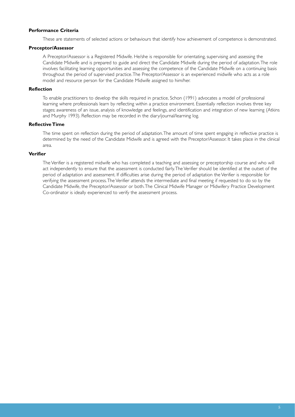#### **Performance Criteria**

These are statements of selected actions or behaviours that identify how achievement of competence is demonstrated.

#### **Preceptor/Assessor**

A Preceptor/Assessor is a Registered Midwife. He/she is responsible for orientating, supervising and assessing the Candidate Midwife and is prepared to guide and direct the Candidate Midwife during the period of adaptation.The role involves facilitating learning opportunities and assessing the competence of the Candidate Midwife on a continuing basis throughout the period of supervised practice.The Preceptor/Assessor is an experienced midwife who acts as a role model and resource person for the Candidate Midwife assigned to him/her.

#### **Reflection**

To enable practitioners to develop the skills required in practice, Schon (1991) advocates a model of professional learning where professionals learn by reflecting within a practice environment. Essentially reflection involves three key stages; awareness of an issue, analysis of knowledge and feelings, and identification and integration of new learning (Atkins and Murphy 1993). Reflection may be recorded in the diary/journal/learning log.

#### **Reflective Time**

The time spent on reflection during the period of adaptation.The amount of time spent engaging in reflective practice is determined by the need of the Candidate Midwife and is agreed with the Preceptor/Assessor. It takes place in the clinical area.

#### **Verifier**

The Verifier is a registered midwife who has completed a teaching and assessing or preceptorship course and who will act independently to ensure that the assessment is conducted fairly.The Verifier should be identified at the outset of the period of adaptation and assessment. If difficulties arise during the period of adaptation the Verifier is responsible for verifying the assessment process.The Verifier attends the intermediate and final meeting if requested to do so by the Candidate Midwife, the Preceptor/Assessor or both.The Clinical Midwife Manager or Midwifery Practice Development Co-ordinator is ideally experienced to verify the assessment process.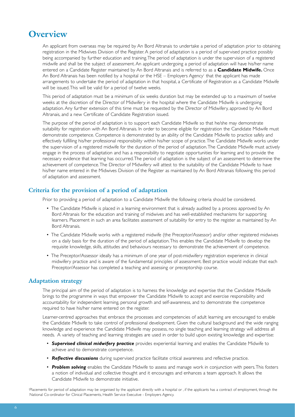### **Overview**

An applicant from overseas may be required by An Bord Altranais to undertake a period of adaptation prior to obtaining registration in the Midwives Division of the Register. A period of adaptation is a period of supervised practice possibly being accompanied by further education and training.The period of adaptation is under the supervision of a registered midwife and shall be the subject of assessment. An applicant undergoing a period of adaptation will have his/her name entered on a Candidate Register maintained by An Bord Altranais and is referred to as a **Candidate Midwife.** Once An Bord Altranais has been notified by a hospital or the HSE – Employers Agency<sup>1</sup> that the applicant has made arrangements to undertake the period of adaptation in that hospital, a Certificate of Registration as a Candidate Midwife will be issued.This will be valid for a period of twelve weeks.

This period of adaptation must be a minimum of six weeks duration but may be extended up to a maximum of twelve weeks at the discretion of the Director of Midwifery in the hospital where the Candidate Midwife is undergoing adaptation. Any further extension of this time must be requested by the Director of Midwifery, approved by An Bord Altranais, and a new Certificate of Candidate Registration issued.

The purpose of the period of adaptation is to support each Candidate Midwife so that he/she may demonstrate suitability for registration with An Bord Altranais. In order to become eligible for registration the Candidate Midwife must demonstrate competence. Competence is demonstrated by an ability of the Candidate Midwife to practice safely and effectively fulfilling his/her professional responsibility within his/her scope of practice.The Candidate Midwife works under the supervision of a registered midwife for the duration of the period of adaptation.The Candidate Midwife must actively engage in the process of adaptation and has a responsibility to negotiate opportunities for learning and to provide the necessary evidence that learning has occurred.The period of adaptation is the subject of an assessment to determine the achievement of competence.The Director of Midwifery will attest to the suitability of the Candidate Midwife to have his/her name entered in the Midwives Division of the Register as maintained by An Bord Altranais following this period of adaptation and assessment.

#### **Criteria for the provision of a period of adaptation**

Prior to providing a period of adaptation to a Candidate Midwife the following criteria should be considered.

- The Candidate Midwife is placed in a learning environment that is already audited by a process approved by An Bord Altranais for the education and training of midwives and has well-established mechanisms for supporting learners. Placement in such an area facilitates assessment of suitability for entry to the register as maintained by An Bord Altranais.
- The Candidate Midwife works with a registered midwife (the Preceptor/Assessor) and/or other registered midwives on a daily basis for the duration of the period of adaptation.This enables the Candidate Midwife to develop the requisite knowledge, skills, attitudes and behaviours necessary to demonstrate the achievement of competence.
- The Preceptor/Assessor ideally has a minimum of one year of post-midwifery registration experience in clinical midwifery practice and is aware of the fundamental principles of assessment. Best practice would indicate that each Preceptor/Assessor has completed a teaching and assessing or preceptorship course.

#### **Adaptation strategy**

The principal aim of the period of adaptation is to harness the knowledge and expertise that the Candidate Midwife brings to the programme in ways that empower the Candidate Midwife to accept and exercise responsibility and accountability for independent learning, personal growth and self-awareness, and to demonstrate the competence required to have his/her name entered on the register.

Learner-centred approaches that embrace the processes and competencies of adult learning are encouraged to enable the Candidate Midwife to take control of professional development. Given the cultural background and the wide ranging knowledge and experience the Candidate Midwife may possess, no single teaching and learning strategy will address all needs. A variety of teaching and learning strategies are used in order to build upon existing knowledge and expertise:

- *Supervised clinical midwifery practice* provides experiential learning and enables the Candidate Midwife to achieve and to demonstrate competence.
- *Reflective discussions* during supervised practice facilitate critical awareness and reflective practice.
- *Problem solving* enables the Candidate Midwife to assess and manage work in conjunction with peers.This fosters a notion of individual and collective thought and it encourages and enhances a team approach. It allows the Candidate Midwife to demonstrate initiative.

1 Placements for period of adaptation may be organised by the applicant directly with a hospital or , if the applicants has a contract of employment, through the National Co-ordinator for Clinical Placements, Health Service Executive - Employers Agency.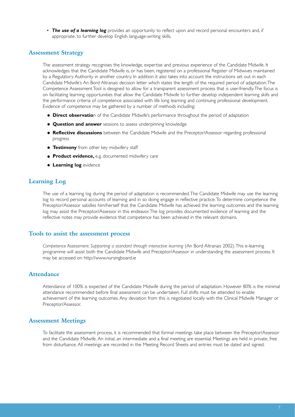• *The use of a learning log* provides an opportunity to reflect upon and record personal encounters and, if appropriate, to further develop English language-writing skills.

#### **Assessment Strategy**

The assessment strategy recognises the knowledge, expertise and previous experience of the Candidate Midwife. It acknowledges that the Candidate Midwife is, or has been, registered on a professional Register of Midwives maintained by a Regulatory Authority in another country. In addition it also takes into account the instructions set out in each Candidate Midwife's An Bord Altranais decision letter which states the length of the required period of adaptation.The Competence Assessment Tool is designed to allow for a transparent assessment process that is user-friendly.The focus is on facilitating learning opportunities that allow the Candidate Midwife to further develop independent learning skills and the performance criteria of competence associated with life long learning and continuing professional development. Evidence of competence may be gathered by a number of methods including:

- **Direct observatio**n of the Candidate Midwife's performance throughout the period of adaptation
- **Question and answer** sessions to assess underpinning knowledge
- **Reflective discussions** between the Candidate Midwife and the Preceptor/Assessor regarding professional progress
- **Testimony** from other key midwifery staff
- **Product evidence,** e.g. documented midwifery care
- **Learning log** evidence

#### **Learning Log**

The use of a learning log during the period of adaptation is recommended.The Candidate Midwife may use the learning log to record personal accounts of learning and in so doing engage in reflective practice.To determine competence the Preceptor/Assessor satisfies him/herself that the Candidate Midwife has achieved the learning outcomes and the learning log may assist the Preceptor/Assessor in this endeavor.The log provides documented evidence of learning and the reflective notes may provide evidence that competence has been achieved in the relevant domains.

#### **Tools to assist the assessment process**

*Competence Assessment. Supporting a standard through interactive learning* (An Bord Altranais 2002).This e-learning programme will assist both the Candidate Midwife and Preceptor/Assessor in understanding the assessment process. It may be accessed on http://www.nursingboard.ie

#### **Attendance**

Attendance of 100% is expected of the Candidate Midwife during the period of adaptation. However 80% is the minimal attendance recommended before final assessment can be undertaken. Full shifts must be attended to enable achievement of the learning outcomes. Any deviation from this is negotiated locally with the Clinical Midwife Manager or Preceptor/Assessor.

#### **Assessment Meetings**

To facilitate the assessment process, it is recommended that formal meetings take place between the Preceptor/Assessor and the Candidate Midwife. An initial, an intermediate and a final meeting are essential. Meetings are held in private, free from disturbance. All meetings are recorded in the Meeting Record Sheets and entries must be dated and signed.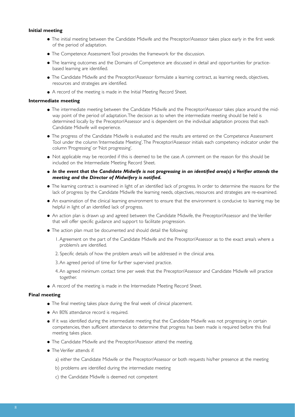#### **Initial meeting**

- The initial meeting between the Candidate Midwife and the Preceptor/Assessor takes place early in the first week of the period of adaptation.
- The Competence Assessment Tool provides the framework for the discussion.
- The learning outcomes and the Domains of Competence are discussed in detail and opportunities for practicebased learning are identified.
- The Candidate Midwife and the Preceptor/Assessor formulate a learning contract, as learning needs, objectives, resources and strategies are identified.
- A record of the meeting is made in the Initial Meeting Record Sheet.

#### **Intermediate meeting**

- The intermediate meeting between the Candidate Midwife and the Preceptor/Assessor takes place around the midway point of the period of adaptation.The decision as to when the intermediate meeting should be held is determined locally by the Preceptor/Assessor and is dependent on the individual adaptation process that each Candidate Midwife will experience.
- The progress of the Candidate Midwife is evaluated and the results are entered on the Competence Assessment Tool under the column 'Intermediate Meeting'.The Preceptor/Assessor initials each competency indicator under the column 'Progressing' or 'Not progressing'.
- Not applicable may be recorded if this is deemed to be the case. A comment on the reason for this should be included on the Intermediate Meeting Record Sheet.
- *In the event that the Candidate Midwife is not progressing in an identified area(s) a Verifier attends the meeting and the Director of Midwifery is notified.*
- The learning contract is examined in light of an identified lack of progress. In order to determine the reasons for the lack of progress by the Candidate Midwife the learning needs, objectives, resources and strategies are re-examined.
- An examination of the clinical learning environment to ensure that the environment is conducive to learning may be helpful in light of an identified lack of progress.
- An action plan is drawn up and agreed between the Candidate Midwife, the Preceptor/Assessor and the Verifier that will offer specific guidance and support to facilitate progression.
- The action plan must be documented and should detail the following:
	- 1. Agreement on the part of the Candidate Midwife and the Preceptor/Assessor as to the exact area/s where a problem/s are identified.
	- 2. Specific details of how the problem area/s will be addressed in the clinical area.
	- 3. An agreed period of time for further supervised practice.
	- 4. An agreed minimum contact time per week that the Preceptor/Assessor and Candidate Midwife will practice together.
- A record of the meeting is made in the Intermediate Meeting Record Sheet.

#### **Final meeting**

- The final meeting takes place during the final week of clinical placement.
- An 80% attendance record is required.
- If it was identified during the intermediate meeting that the Candidate Midwife was not progressing in certain competencies, then sufficient attendance to determine that progress has been made is required before this final meeting takes place.
- The Candidate Midwife and the Preceptor/Assessor attend the meeting.
- The Verifier attends if:
	- a) either the Candidate Midwife or the Preceptor/Assessor or both requests his/her presence at the meeting
	- b) problems are identified during the intermediate meeting
	- c) the Candidate Midwife is deemed not competent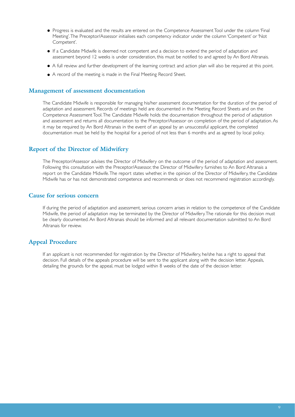- Progress is evaluated and the results are entered on the Competence Assessment Tool under the column 'Final Meeting'.The Preceptor/Assessor initialises each competency indicator under the column 'Competent' or 'Not Competent'.
- If a Candidate Midwife is deemed not competent and a decision to extend the period of adaptation and assessment beyond 12 weeks is under consideration, this must be notified to and agreed by An Bord Altranais.
- A full review and further development of the learning contract and action plan will also be required at this point.
- A record of the meeting is made in the Final Meeting Record Sheet.

#### **Management of assessment documentation**

The Candidate Midwife is responsible for managing his/her assessment documentation for the duration of the period of adaptation and assessment. Records of meetings held are documented in the Meeting Record Sheets and on the Competence Assessment Tool.The Candidate Midwife holds the documentation throughout the period of adaptation and assessment and returns all documentation to the Preceptor/Assessor on completion of the period of adaptation. As it may be required by An Bord Altranais in the event of an appeal by an unsuccessful applicant, the completed documentation must be held by the hospital for a period of not less than 6 months and as agreed by local policy.

#### **Report of the Director of Midwifery**

The Preceptor/Assessor advises the Director of Midwifery on the outcome of the period of adaptation and assessment. Following this consultation with the Preceptor/Assessor, the Director of Midwifery furnishes to An Bord Altranais a report on the Candidate Midwife.The report states whether, in the opinion of the Director of Midwifery, the Candidate Midwife has or has not demonstrated competence and recommends or does not recommend registration accordingly.

#### **Cause for serious concern**

If during the period of adaptation and assessment, serious concern arises in relation to the competence of the Candidate Midwife, the period of adaptation may be terminated by the Director of Midwifery.The rationale for this decision must be clearly documented. An Bord Altranais should be informed and all relevant documentation submitted to An Bord Altranais for review.

#### **Appeal Procedure**

If an applicant is not recommended for registration by the Director of Midwifery, he/she has a right to appeal that decision. Full details of the appeals procedure will be sent to the applicant along with the decision letter. Appeals, detailing the grounds for the appeal, must be lodged within 8 weeks of the date of the decision letter.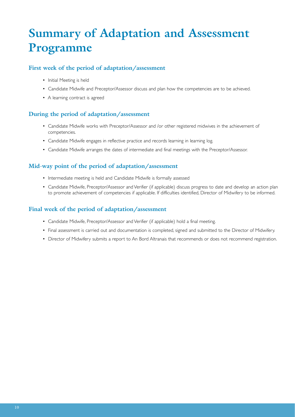# **Summary of Adaptation and Assessment Programme**

#### **First week of the period of adaptation/assessment**

- Initial Meeting is held
- Candidate Midwife and Preceptor/Assessor discuss and plan how the competencies are to be achieved.
- A learning contract is agreed

#### **During the period of adaptation/assessment**

- Candidate Midwife works with Preceptor/Assessor and /or other registered midwives in the achievement of competencies.
- Candidate Midwife engages in reflective practice and records learning in learning log.
- Candidate Midwife arranges the dates of intermediate and final meetings with the Preceptor/Assessor.

#### **Mid-way point of the period of adaptation/assessment**

- Intermediate meeting is held and Candidate Midwife is formally assessed
- Candidate Midwife, Preceptor/Assessor and Verifier (if applicable) discuss progress to date and develop an action plan to promote achievement of competencies if applicable. If difficulties identified, Director of Midwifery to be informed.

#### **Final week of the period of adaptation/assessment**

- Candidate Midwife, Preceptor/Assessor and Verifier (if applicable) hold a final meeting.
- Final assessment is carried out and documentation is completed, signed and submitted to the Director of Midwifery.
- Director of Midwifery submits a report to An Bord Altranais that recommends or does not recommend registration.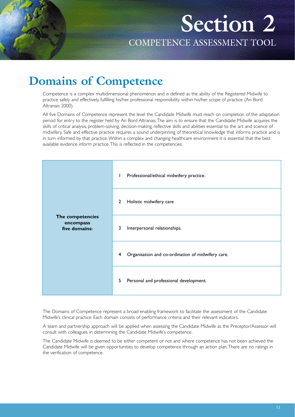**Section 2** COMPETENCE ASSESSMENT TOOL

## **Domains of Competence**

Competence is a complex multidimensional phenomenon and is defined as the ability of the Registered Midwife to practice safely and effectively, fulfilling his/her professional responsibility within his/her scope of practice (An Bord Altranais 2000).

All five Domains of Competence represent the level the Candidate Midwife must reach on completion of the adaptation period for entry to the register held by An Bord Altranais.The aim is to ensure that the Candidate Midwife acquires the skills of critical analysis, problem-solving, decision-making, reflective skills and abilities essential to the art and science of midwifery. Safe and effective practice requires a sound underpinning of theoretical knowledge that informs practice and is in turn informed by that practice.Within a complex and changing healthcare environment it is essential that the best available evidence inform practice.This is reflected in the competencies.

|                                                | Professional/ethical midwifery practice.<br>L          |
|------------------------------------------------|--------------------------------------------------------|
|                                                | Holistic midwifery care<br>$\overline{2}$              |
| The competencies<br>encompass<br>five domains: | 3<br>Interpersonal relationships.                      |
|                                                | Organisation and co-ordination of midwifery care.<br>4 |
|                                                | 5<br>Personal and professional development.            |

The Domains of Competence represent a broad enabling framework to facilitate the assessment of the Candidate Midwife's clinical practice. Each domain consists of performance criteria and their relevant indicators.

A team and partnership approach will be applied when assessing the Candidate Midwife as the Preceptor/Assessor will consult with colleagues in determining the Candidate Midwife's competence.

The Candidate Midwife is deemed to be either competent or not and where competence has not been achieved the Candidate Midwife will be given opportunities to develop competence through an action plan.There are no ratings in the verification of competence.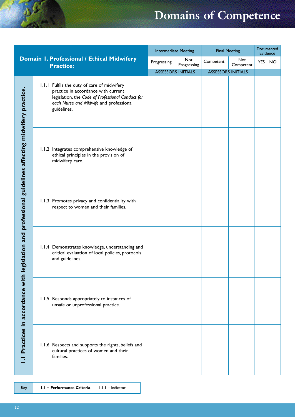# **Domains of Competence**

|                                                                                                    |                                                                                                                                                                                                   | <b>Intermediate Meeting</b> |                    | <b>Final Meeting</b>      |                  | Documented<br>Evidence |           |
|----------------------------------------------------------------------------------------------------|---------------------------------------------------------------------------------------------------------------------------------------------------------------------------------------------------|-----------------------------|--------------------|---------------------------|------------------|------------------------|-----------|
|                                                                                                    | Domain I. Professional / Ethical Midwifery<br><b>Practice:</b>                                                                                                                                    | Progressing                 | Not<br>Progressing | Competent                 | Not<br>Competent | <b>YES</b>             | <b>NO</b> |
|                                                                                                    |                                                                                                                                                                                                   | <b>ASSESSORS INITIALS</b>   |                    | <b>ASSESSORS INITIALS</b> |                  |                        |           |
| Practices in accordance with legislation and professional guidelines affecting midwifery practice. | 1.1.1 Fulfils the duty of care of midwifery<br>practice in accordance with current<br>legislation, the Code of Professional Conduct for<br>each Nurse and Midwife and professional<br>guidelines. |                             |                    |                           |                  |                        |           |
|                                                                                                    | 1.1.2 Integrates comprehensive knowledge of<br>ethical principles in the provision of<br>midwifery care.                                                                                          |                             |                    |                           |                  |                        |           |
|                                                                                                    | 1.1.3 Promotes privacy and confidentiality with<br>respect to women and their families.                                                                                                           |                             |                    |                           |                  |                        |           |
|                                                                                                    | 1.1.4 Demonstrates knowledge, understanding and<br>critical evaluation of local policies, protocols<br>and guidelines.                                                                            |                             |                    |                           |                  |                        |           |
|                                                                                                    | 1.1.5 Responds appropriately to instances of<br>unsafe or unprofessional practice.                                                                                                                |                             |                    |                           |                  |                        |           |
|                                                                                                    | 1.1.6 Respects and supports the rights, beliefs and<br>cultural practices of women and their<br>families.                                                                                         |                             |                    |                           |                  |                        |           |

*Key* **1.1 = Performance Criteria** 1.1.1 = Indicator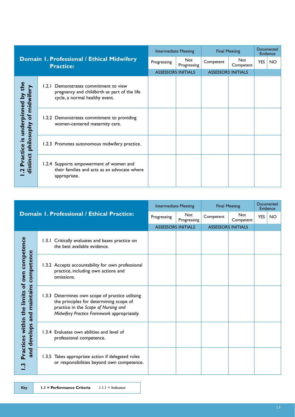|                                                                                               |       |                                                                                                                   | <b>Intermediate Meeting</b> |                           | <b>Final Meeting</b> | Documented<br>Evidence    |            |           |
|-----------------------------------------------------------------------------------------------|-------|-------------------------------------------------------------------------------------------------------------------|-----------------------------|---------------------------|----------------------|---------------------------|------------|-----------|
|                                                                                               |       | Domain I. Professional / Ethical Midwifery<br><b>Practice:</b>                                                    | Progressing                 | Not<br>Progressing        | Competent            | <b>Not</b><br>Competent   | <b>YES</b> | <b>NO</b> |
|                                                                                               |       |                                                                                                                   |                             | <b>ASSESSORS INITIALS</b> |                      | <b>ASSESSORS INITIALS</b> |            |           |
| the<br>underpinned by<br>midwif<br>$\delta$<br>philosophy<br><u>୯</u><br>Practice<br>distinct | 1.2.1 | Demonstrates commitment to view<br>pregnancy and childbirth as part of the life<br>cycle, a normal healthy event. |                             |                           |                      |                           |            |           |
|                                                                                               |       | 1.2.2 Demonstrates commitment to providing<br>women-centered maternity care.                                      |                             |                           |                      |                           |            |           |
|                                                                                               |       | 1.2.3 Promotes autonomous midwifery practice.                                                                     |                             |                           |                      |                           |            |           |
|                                                                                               |       | 1.2.4 Supports empowerment of women and<br>their families and acts as an advocate where<br>appropriate.           |                             |                           |                      |                           |            |           |

|                                                                                                          |  |                                                                                                                                                                                    | <b>Intermediate Meeting</b> |                           | <b>Final Meeting</b>      | Documented<br>Evidence  |            |           |
|----------------------------------------------------------------------------------------------------------|--|------------------------------------------------------------------------------------------------------------------------------------------------------------------------------------|-----------------------------|---------------------------|---------------------------|-------------------------|------------|-----------|
|                                                                                                          |  | <b>Domain 1. Professional / Ethical Practice:</b>                                                                                                                                  | Progressing                 | <b>Not</b><br>Progressing | Competent                 | <b>Not</b><br>Competent | <b>YES</b> | <b>NO</b> |
|                                                                                                          |  |                                                                                                                                                                                    | <b>ASSESSORS INITIALS</b>   |                           | <b>ASSESSORS INITIALS</b> |                         |            |           |
| of own competence<br>competence<br>maintains<br>limits<br>Practices within the<br>and<br>develops<br>and |  | 1.3.1 Critically evaluates and bases practice on<br>the best available evidence.                                                                                                   |                             |                           |                           |                         |            |           |
|                                                                                                          |  | 1.3.2 Accepts accountability for own professional<br>practice, including own actions and<br>omissions.                                                                             |                             |                           |                           |                         |            |           |
|                                                                                                          |  | 1.3.3 Determines own scope of practice utilising<br>the principles for determining scope of<br>practice in the Scope of Nursing and<br>Midwifery Practice Framework appropriately. |                             |                           |                           |                         |            |           |
|                                                                                                          |  | 1.3.4 Evaluates own abilities and level of<br>professional competence.                                                                                                             |                             |                           |                           |                         |            |           |
|                                                                                                          |  | 1.3.5 Takes appropriate action if delegated roles<br>or responsibilities beyond own competence.                                                                                    |                             |                           |                           |                         |            |           |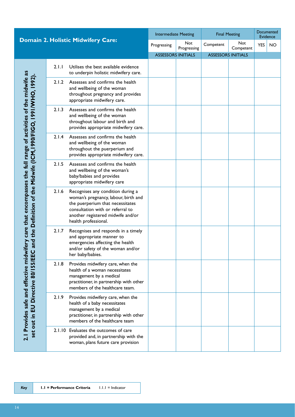|                                                                                                                                                   | <b>Domain 2. Holistic Midwifery Care:</b> |                                                                                                                                                                                                                | <b>Intermediate Meeting</b> |                    | <b>Final Meeting</b>      | Documented<br>Evidence |            |           |
|---------------------------------------------------------------------------------------------------------------------------------------------------|-------------------------------------------|----------------------------------------------------------------------------------------------------------------------------------------------------------------------------------------------------------------|-----------------------------|--------------------|---------------------------|------------------------|------------|-----------|
|                                                                                                                                                   |                                           |                                                                                                                                                                                                                | Progressing                 | Not<br>Progressing | Competent                 | Not<br>Competent       | <b>YES</b> | <b>NO</b> |
|                                                                                                                                                   |                                           |                                                                                                                                                                                                                | <b>ASSESSORS INITIALS</b>   |                    | <b>ASSESSORS INITIALS</b> |                        |            |           |
|                                                                                                                                                   | 2.1.1                                     | Utilises the best available evidence<br>to underpin holistic midwifery care.                                                                                                                                   |                             |                    |                           |                        |            |           |
|                                                                                                                                                   | 2.1.2                                     | Assesses and confirms the health<br>and wellbeing of the woman<br>throughout pregnancy and provides<br>appropriate midwifery care.                                                                             |                             |                    |                           |                        |            |           |
|                                                                                                                                                   | 2.1.3                                     | Assesses and confirms the health<br>and wellbeing of the woman<br>throughout labour and birth and<br>provides appropriate midwifery care.                                                                      |                             |                    |                           |                        |            |           |
|                                                                                                                                                   | 2.1.4                                     | Assesses and confirms the health<br>and wellbeing of the woman<br>throughout the puerperium and<br>provides appropriate midwifery care.                                                                        |                             |                    |                           |                        |            |           |
|                                                                                                                                                   | 2.1.5                                     | Assesses and confirms the health<br>and wellbeing of the woman's<br>baby/babies and provides<br>appropriate midwifery care                                                                                     |                             |                    |                           |                        |            |           |
| ifery care that encompasses the full range of activities of the midwife as<br>and the Definition of the Midwife (ICM, 1990/FIGO, 1991/WHO, 1992). | 2.1.6                                     | Recognises any condition during a<br>woman's pregnancy, labour, birth and<br>the puerperium that necessitates<br>consultation with or referral to<br>another registered midwife and/or<br>health professional. |                             |                    |                           |                        |            |           |
|                                                                                                                                                   | 2.1.7                                     | Recognises and responds in a timely<br>and appropriate manner to<br>emergencies affecting the health<br>and/or safety of the woman and/or<br>her baby/babies.                                                  |                             |                    |                           |                        |            |           |
| 2.1 Provides safe and effective midwi<br>set out in EU Directive 80/ISS/EEC                                                                       | 2.1.8                                     | Provides midwifery care, when the<br>health of a woman necessitates<br>management by a medical<br>practitioner, in partnership with other<br>members of the healthcare team.                                   |                             |                    |                           |                        |            |           |
|                                                                                                                                                   | 2.1.9                                     | Provides midwifery care, when the<br>health of a baby necessitates<br>management by a medical<br>practitioner, in partnership with other<br>members of the healthcare team                                     |                             |                    |                           |                        |            |           |
|                                                                                                                                                   |                                           | 2.1.10 Evaluates the outcomes of care<br>provided and, in partnership with the<br>woman, plans future care provision                                                                                           |                             |                    |                           |                        |            |           |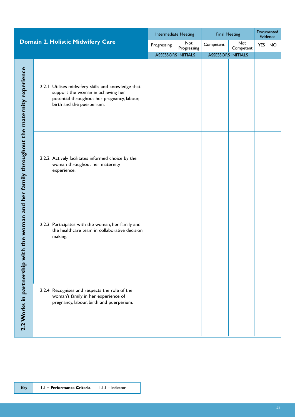|                                                                            |  |                                                                                                                                                                      | <b>Intermediate Meeting</b> |                    | <b>Final Meeting</b>      |                  | Documented<br>Evidence |           |
|----------------------------------------------------------------------------|--|----------------------------------------------------------------------------------------------------------------------------------------------------------------------|-----------------------------|--------------------|---------------------------|------------------|------------------------|-----------|
|                                                                            |  | Domain 2. Holistic Midwifery Care                                                                                                                                    | Progressing                 | Not<br>Progressing | Competent                 | Not<br>Competent | <b>YES</b>             | <b>NO</b> |
|                                                                            |  |                                                                                                                                                                      | <b>ASSESSORS INITIALS</b>   |                    | <b>ASSESSORS INITIALS</b> |                  |                        |           |
|                                                                            |  | 2.2.1 Utilises midwifery skills and knowledge that<br>support the woman in achieving her<br>potential throughout her pregnancy, labour,<br>birth and the puerperium. |                             |                    |                           |                  |                        |           |
| the woman and her family throughout the maternity experience<br>$\epsilon$ |  | 2.2.2 Actively facilitates informed choice by the<br>woman throughout her maternity<br>experience.                                                                   |                             |                    |                           |                  |                        |           |
|                                                                            |  | 2.2.3 Participates with the woman, her family and<br>the healthcare team in collaborative decision<br>making.                                                        |                             |                    |                           |                  |                        |           |
| 2.2 Works in partnership wit                                               |  | 2.2.4 Recognises and respects the role of the<br>woman's family in her experience of<br>pregnancy, labour, birth and puerperium.                                     |                             |                    |                           |                  |                        |           |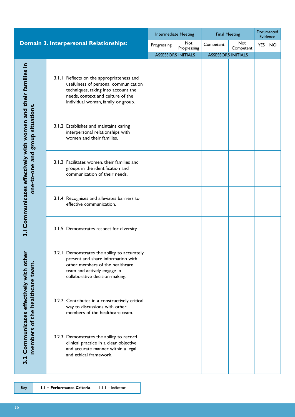|                                                                                                                                        |                                                                                                                                                                                                     | <b>Intermediate Meeting</b> |                    | <b>Final Meeting</b>      | Documented<br>Evidence |            |           |
|----------------------------------------------------------------------------------------------------------------------------------------|-----------------------------------------------------------------------------------------------------------------------------------------------------------------------------------------------------|-----------------------------|--------------------|---------------------------|------------------------|------------|-----------|
|                                                                                                                                        | <b>Domain 3. Interpersonal Relationships:</b>                                                                                                                                                       | Progressing                 | Not<br>Progressing | Competent                 | Not<br>Competent       | <b>YES</b> | <b>NO</b> |
|                                                                                                                                        |                                                                                                                                                                                                     | <b>ASSESSORS INITIALS</b>   |                    | <b>ASSESSORS INITIALS</b> |                        |            |           |
| one-to-one and group situations                                                                                                        | 3.1.1 Reflects on the appropriateness and<br>usefulness of personal communication<br>techniques, taking into account the<br>needs, context and culture of the<br>individual woman, family or group. |                             |                    |                           |                        |            |           |
|                                                                                                                                        | 3.1.2 Establishes and maintains caring<br>interpersonal relationships with<br>women and their families.                                                                                             |                             |                    |                           |                        |            |           |
|                                                                                                                                        | 3.1.3 Facilitates women, their families and<br>groups in the identification and<br>communication of their needs.                                                                                    |                             |                    |                           |                        |            |           |
|                                                                                                                                        | 3.1.4 Recognises and alleviates barriers to<br>effective communication.                                                                                                                             |                             |                    |                           |                        |            |           |
|                                                                                                                                        | 3.1.5 Demonstrates respect for diversity.                                                                                                                                                           |                             |                    |                           |                        |            |           |
|                                                                                                                                        | 3.2.1 Demonstrates the ability to accurately<br>present and share information with<br>other members of the healthcare<br>team and actively engage in<br>collaborative decision-making.              |                             |                    |                           |                        |            |           |
|                                                                                                                                        | 3.2.2 Contributes in a constructively critical<br>way to discussions with other<br>members of the healthcare team.                                                                                  |                             |                    |                           |                        |            |           |
| 3.2                                                                                                                                    | 3.2.3 Demonstrates the ability to record<br>clinical practice in a clear, objective<br>and accurate manner within a legal<br>and ethical framework.                                                 |                             |                    |                           |                        |            |           |
| 3.1 Communicates effectively with women and their families in<br>Communicates effectively with other<br>members of the healthcare team |                                                                                                                                                                                                     |                             |                    |                           |                        |            |           |

*Key* **1.1 = Performance Criteria** 1.1.1 = Indicator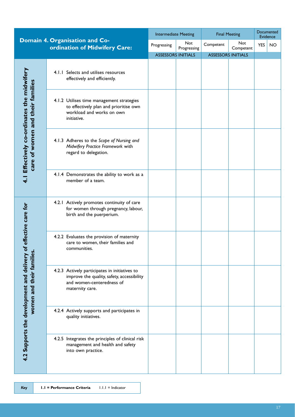|                                                                                |                                                                                                                                             | <b>Intermediate Meeting</b> |                    | <b>Final Meeting</b>      | Documented<br>Evidence |            |           |
|--------------------------------------------------------------------------------|---------------------------------------------------------------------------------------------------------------------------------------------|-----------------------------|--------------------|---------------------------|------------------------|------------|-----------|
|                                                                                | Domain 4. Organisation and Co-<br>ordination of Midwifery Care:                                                                             | Progressing                 | Not<br>Progressing | Competent                 | Not<br>Competent       | <b>YES</b> | <b>NO</b> |
|                                                                                |                                                                                                                                             | <b>ASSESSORS INITIALS</b>   |                    | <b>ASSESSORS INITIALS</b> |                        |            |           |
|                                                                                | 4.1.1 Selects and utilises resources<br>effectively and efficiently.                                                                        |                             |                    |                           |                        |            |           |
|                                                                                | 4.1.2 Utilises time management strategies<br>to effectively plan and prioritise own<br>workload and works on own<br>initiative.             |                             |                    |                           |                        |            |           |
| 4.1 Effectively co-ordinates the midwifery<br>care of women and their families | 4.1.3 Adheres to the Scope of Nursing and<br>Midwifery Practice Framework with<br>regard to delegation.                                     |                             |                    |                           |                        |            |           |
|                                                                                | 4.1.4 Demonstrates the ability to work as a<br>member of a team.                                                                            |                             |                    |                           |                        |            |           |
| of effective care for                                                          | 4.2.1 Actively promotes continuity of care<br>for women through pregnancy, labour,<br>birth and the puerperium.                             |                             |                    |                           |                        |            |           |
|                                                                                | 4.2.2 Evaluates the provision of maternity<br>care to women, their families and<br>communities.                                             |                             |                    |                           |                        |            |           |
| women and their families.<br>4.2 Supports the development and delivery         | 4.2.3 Actively participates in initiatives to<br>improve the quality, safety, accessibility<br>and women-centeredness of<br>maternity care. |                             |                    |                           |                        |            |           |
|                                                                                | 4.2.4 Actively supports and participates in<br>quality initiatives.                                                                         |                             |                    |                           |                        |            |           |
|                                                                                | 4.2.5 Integrates the principles of clinical risk<br>management and health and safety<br>into own practice.                                  |                             |                    |                           |                        |            |           |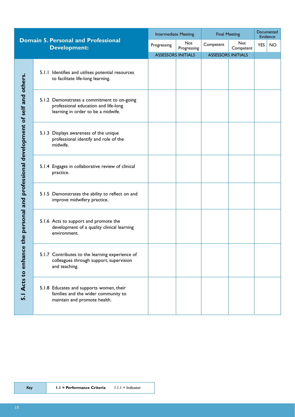|                                                 | <b>Domain 5. Personal and Professional</b> |                                                                                                                           | <b>Intermediate Meeting</b> |                    | <b>Final Meeting</b>      |                         | Documented<br>Evidence |           |
|-------------------------------------------------|--------------------------------------------|---------------------------------------------------------------------------------------------------------------------------|-----------------------------|--------------------|---------------------------|-------------------------|------------------------|-----------|
|                                                 |                                            | <b>Development:</b>                                                                                                       | Progressing                 | Not<br>Progressing | Competent                 | <b>Not</b><br>Competent | <b>YES</b>             | <b>NO</b> |
|                                                 |                                            |                                                                                                                           | <b>ASSESSORS INITIALS</b>   |                    | <b>ASSESSORS INITIALS</b> |                         |                        |           |
| professional development of self and others.    |                                            | 5.1.1 Identifies and utilises potential resources<br>to facilitate life-long learning.                                    |                             |                    |                           |                         |                        |           |
|                                                 |                                            | 5.1.2 Demonstrates a commitment to on-going<br>professional education and life-long<br>learning in order to be a midwife. |                             |                    |                           |                         |                        |           |
|                                                 |                                            | 5.1.3 Displays awareness of the unique<br>professional identify and role of the<br>midwife.                               |                             |                    |                           |                         |                        |           |
|                                                 |                                            | 5.1.4 Engages in collaborative review of clinical<br>practice.                                                            |                             |                    |                           |                         |                        |           |
|                                                 |                                            | 5.1.5 Demonstrates the ability to reflect on and<br>improve midwifery practice.                                           |                             |                    |                           |                         |                        |           |
| the personal and                                |                                            | 5.1.6 Acts to support and promote the<br>development of a quality clinical learning<br>environment.                       |                             |                    |                           |                         |                        |           |
| $\mathbf 0$<br>Acts to enhand<br>$\overline{5}$ |                                            | 5.1.7 Contributes to the learning experience of<br>colleagues through support, supervision<br>and teaching.               |                             |                    |                           |                         |                        |           |
|                                                 |                                            | 5.1.8 Educates and supports women, their<br>families and the wider community to<br>maintain and promote health.           |                             |                    |                           |                         |                        |           |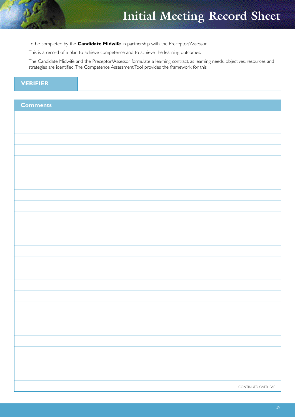# **Initial Meeting Record Sheet**

To be completed by the **Candidate Midwife** in partnership with the Preceptor/Assessor

This is a record of a plan to achieve competence and to achieve the learning outcomes.

The Candidate Midwife and the Preceptor/Assessor formulate a learning contract, as learning needs, objectives, resources and strategies are identified.The Competence Assessment Tool provides the framework for this.

## **VERIFIER**

| <b>Comments</b> |                    |
|-----------------|--------------------|
|                 |                    |
|                 |                    |
|                 |                    |
|                 |                    |
|                 |                    |
|                 |                    |
|                 |                    |
|                 |                    |
|                 |                    |
|                 |                    |
|                 |                    |
|                 |                    |
|                 |                    |
|                 |                    |
|                 |                    |
|                 |                    |
|                 |                    |
|                 |                    |
|                 |                    |
|                 |                    |
|                 |                    |
|                 |                    |
|                 |                    |
|                 |                    |
|                 |                    |
|                 |                    |
|                 | CONTINUED OVERLEAF |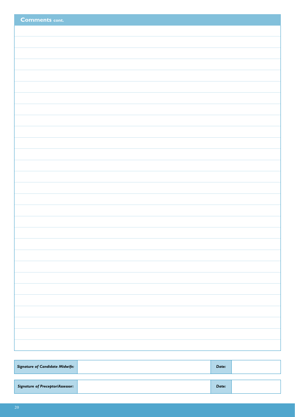| <b>Comments cont.</b> |
|-----------------------|
|                       |
|                       |
|                       |
|                       |
|                       |
|                       |
|                       |
|                       |
|                       |
|                       |
|                       |
|                       |
|                       |
|                       |
|                       |
|                       |
|                       |
|                       |
|                       |
|                       |
|                       |
|                       |
|                       |
|                       |
|                       |
|                       |
|                       |
|                       |
|                       |
|                       |

| <b>Signature of Candidate Midwife:</b>  | Date: |  |
|-----------------------------------------|-------|--|
| <b>Signature of Preceptor/Assessor:</b> | Date: |  |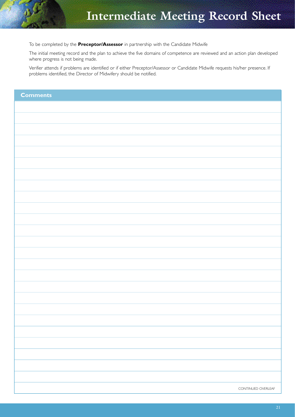# **Intermediate Meeting Record Sheet**

To be completed by the **Preceptor/Assessor** in partnership with the Candidate Midwife

The initial meeting record and the plan to achieve the five domains of competence are reviewed and an action plan developed where progress is not being made.

Verifier attends if problems are identified or if either Preceptor/Assessor or Candidate Midwife requests his/her presence. If problems identified, the Director of Midwifery should be notified.

| <b>Comments</b>    |
|--------------------|
|                    |
|                    |
|                    |
|                    |
|                    |
|                    |
|                    |
|                    |
|                    |
|                    |
|                    |
|                    |
|                    |
|                    |
|                    |
|                    |
|                    |
|                    |
|                    |
|                    |
|                    |
|                    |
|                    |
|                    |
| CONTINUED OVERLEAF |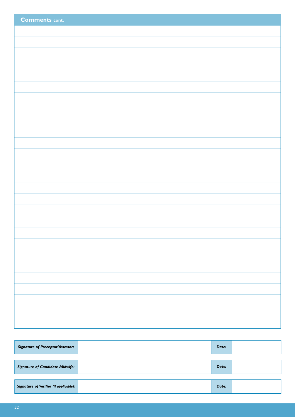| <b>Comments cont.</b> |
|-----------------------|
|                       |
|                       |
|                       |
|                       |
|                       |
|                       |
|                       |
|                       |
|                       |
|                       |
|                       |
|                       |
|                       |
|                       |
|                       |
|                       |
|                       |
|                       |
|                       |
|                       |
|                       |
|                       |
|                       |
|                       |

| Date: |  |
|-------|--|
| Date: |  |
| Date: |  |
|       |  |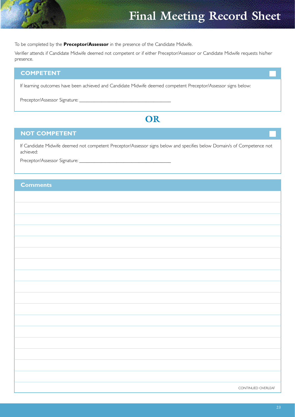# **Final Meeting Record Sheet**

To be completed by the **Preceptor/Assessor** in the presence of the Candidate Midwife.

Verifier attends if Candidate Midwife deemed not competent or if either Preceptor/Assessor or Candidate Midwife requests his/her presence.

#### **COMPETENT**

If learning outcomes have been achieved and Candidate Midwife deemed competent Preceptor/Assessor signs below:

Preceptor/Assessor Signature:

### **OR**

#### **NOT COMPETENT**

If Candidate Midwife deemed not competent Preceptor/Assessor signs below and specifies below Domain/s of Competence not achieved:

Preceptor/Assessor Signature:

#### **Comments**

| CONTINUED OVERLEAF |  |
|--------------------|--|
|                    |  |
|                    |  |
|                    |  |
|                    |  |
|                    |  |
|                    |  |
|                    |  |
|                    |  |
|                    |  |
|                    |  |
|                    |  |
|                    |  |
|                    |  |
|                    |  |
|                    |  |
|                    |  |
|                    |  |
|                    |  |
|                    |  |
|                    |  |
|                    |  |
|                    |  |
|                    |  |
|                    |  |
|                    |  |
|                    |  |
|                    |  |
|                    |  |
|                    |  |
|                    |  |
|                    |  |
|                    |  |
|                    |  |
|                    |  |
|                    |  |
|                    |  |
|                    |  |
|                    |  |
|                    |  |
|                    |  |
|                    |  |
|                    |  |
|                    |  |
|                    |  |
|                    |  |
|                    |  |
|                    |  |
|                    |  |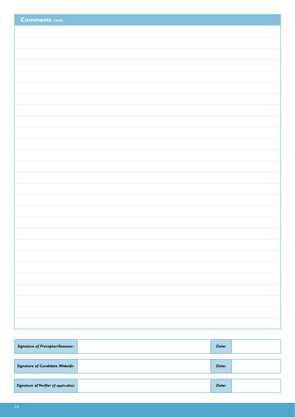| <b>Comments cont.</b> |
|-----------------------|
|                       |
|                       |
|                       |
|                       |
|                       |
|                       |
|                       |
|                       |
|                       |
|                       |
|                       |
|                       |
|                       |
|                       |
|                       |
|                       |
|                       |
|                       |
|                       |
|                       |
|                       |
|                       |
|                       |
|                       |
|                       |
|                       |
|                       |

| <b>Signature of Preceptor/Assessor:</b>       | Date: |  |
|-----------------------------------------------|-------|--|
|                                               |       |  |
| <b>Signature of Candidate Midwife:</b>        | Date: |  |
|                                               |       |  |
| <b>Signature of Verifier (if applicable):</b> | Date: |  |